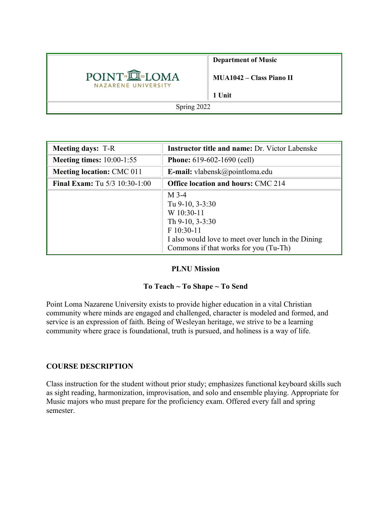

**Department of Music**

**MUA1042 – Class Piano II**

**1 Unit**

Spring 2022

| <b>Meeting days: T-R</b>               | <b>Instructor title and name: Dr. Victor Labenske</b>                                                                                                                         |  |  |
|----------------------------------------|-------------------------------------------------------------------------------------------------------------------------------------------------------------------------------|--|--|
| <b>Meeting times:</b> 10:00-1:55       | <b>Phone:</b> $619-602-1690$ (cell)                                                                                                                                           |  |  |
| <b>Meeting location: CMC 011</b>       | <b>E-mail:</b> vlabensk@pointloma.edu                                                                                                                                         |  |  |
| <b>Final Exam:</b> Tu $5/3$ 10:30-1:00 | <b>Office location and hours: CMC 214</b>                                                                                                                                     |  |  |
|                                        | $M$ 3-4<br>Tu 9-10, 3-3:30<br>W 10:30-11<br>Th $9-10$ , $3-3:30$<br>F 10:30-11<br>I also would love to meet over lunch in the Dining<br>Commons if that works for you (Tu-Th) |  |  |

#### **PLNU Mission**

#### **To Teach ~ To Shape ~ To Send**

Point Loma Nazarene University exists to provide higher education in a vital Christian community where minds are engaged and challenged, character is modeled and formed, and service is an expression of faith. Being of Wesleyan heritage, we strive to be a learning community where grace is foundational, truth is pursued, and holiness is a way of life.

#### **COURSE DESCRIPTION**

Class instruction for the student without prior study; emphasizes functional keyboard skills such as sight reading, harmonization, improvisation, and solo and ensemble playing. Appropriate for Music majors who must prepare for the proficiency exam. Offered every fall and spring semester.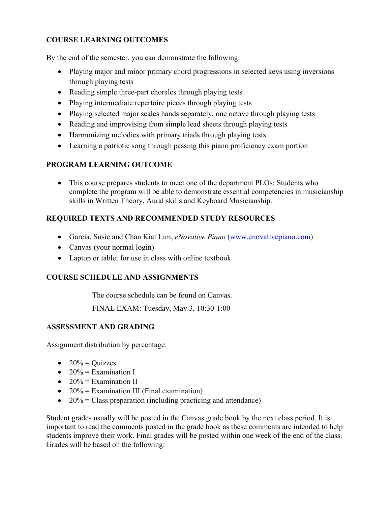# **COURSE LEARNING OUTCOMES**

By the end of the semester, you can demonstrate the following:

- Playing major and minor primary chord progressions in selected keys using inversions through playing tests
- Reading simple three-part chorales through playing tests
- Playing intermediate repertoire pieces through playing tests
- Playing selected major scales hands separately, one octave through playing tests
- Reading and improvising from simple lead sheets through playing tests
- Harmonizing melodies with primary triads through playing tests
- Learning a patriotic song through passing this piano proficiency exam portion

# **PROGRAM LEARNING OUTCOME**

• This course prepares students to meet one of the department PLOs: Students who complete the program will be able to demonstrate essential competencies in musicianship skills in Written Theory, Aural skills and Keyboard Musicianship.

# **REQUIRED TEXTS AND RECOMMENDED STUDY RESOURCES**

- Garcia, Susie and Chan Kiat Lim, *eNovative Piano* (www.enovativepiano.com)
- Canvas (your normal login)
- Laptop or tablet for use in class with online textbook

# **COURSE SCHEDULE AND ASSIGNMENTS**

The course schedule can be found on Canvas.

FINAL EXAM: Tuesday, May 3, 10:30-1:00

# **ASSESSMENT AND GRADING**

Assignment distribution by percentage:

- $\bullet$  20% = Quizzes
- $20\%$  = Examination I
- $20\%$  = Examination II
- $20\%$  = Examination III (Final examination)
- $20\%$  = Class preparation (including practicing and attendance)

Student grades usually will be posted in the Canvas grade book by the next class period. It is important to read the comments posted in the grade book as these comments are intended to help students improve their work. Final grades will be posted within one week of the end of the class. Grades will be based on the following: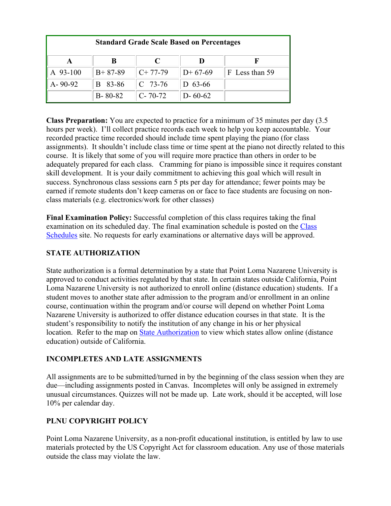| <b>Standard Grade Scale Based on Percentages</b> |               |               |               |                |  |
|--------------------------------------------------|---------------|---------------|---------------|----------------|--|
|                                                  |               |               |               |                |  |
| A 93-100                                         | $B+87-89$     | $C+77-79$     | $D+67-69$     | F Less than 59 |  |
| $A - 90 - 92$                                    | 83-86<br>B.   | $C$ 73-76     | D $63-66$     |                |  |
|                                                  | $B - 80 - 82$ | $C - 70 - 72$ | $D - 60 - 62$ |                |  |

**Class Preparation:** You are expected to practice for a minimum of 35 minutes per day (3.5 hours per week). I'll collect practice records each week to help you keep accountable. Your recorded practice time recorded should include time spent playing the piano (for class assignments). It shouldn't include class time or time spent at the piano not directly related to this course. It is likely that some of you will require more practice than others in order to be adequately prepared for each class. Cramming for piano is impossible since it requires constant skill development. It is your daily commitment to achieving this goal which will result in success. Synchronous class sessions earn 5 pts per day for attendance; fewer points may be earned if remote students don't keep cameras on or face to face students are focusing on nonclass materials (e.g. electronics/work for other classes)

**Final Examination Policy:** Successful completion of this class requires taking the final examination on its scheduled day. The final examination schedule is posted on the Class Schedules site. No requests for early examinations or alternative days will be approved.

### **STATE AUTHORIZATION**

State authorization is a formal determination by a state that Point Loma Nazarene University is approved to conduct activities regulated by that state. In certain states outside California, Point Loma Nazarene University is not authorized to enroll online (distance education) students. If a student moves to another state after admission to the program and/or enrollment in an online course, continuation within the program and/or course will depend on whether Point Loma Nazarene University is authorized to offer distance education courses in that state. It is the student's responsibility to notify the institution of any change in his or her physical location. Refer to the map on State Authorization to view which states allow online (distance education) outside of California.

#### **INCOMPLETES AND LATE ASSIGNMENTS**

All assignments are to be submitted/turned in by the beginning of the class session when they are due—including assignments posted in Canvas. Incompletes will only be assigned in extremely unusual circumstances. Quizzes will not be made up. Late work, should it be accepted, will lose 10% per calendar day.

# **PLNU COPYRIGHT POLICY**

Point Loma Nazarene University, as a non-profit educational institution, is entitled by law to use materials protected by the US Copyright Act for classroom education. Any use of those materials outside the class may violate the law.